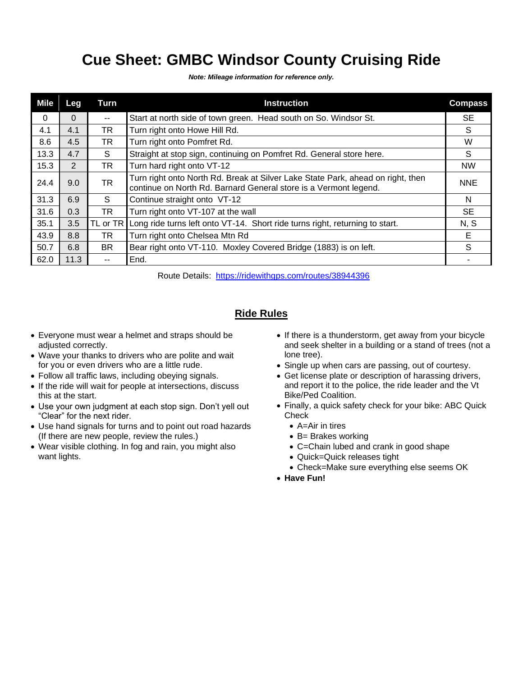## **Cue Sheet: GMBC Windsor County Cruising Ride**

*Note: Mileage information for reference only.*

| Mile     | Leg      | Turn      | <b>Instruction</b>                                                                                                                                  | <b>Compass</b> |
|----------|----------|-----------|-----------------------------------------------------------------------------------------------------------------------------------------------------|----------------|
| $\Omega$ | $\Omega$ | $- -$     | Start at north side of town green. Head south on So. Windsor St.                                                                                    | <b>SE</b>      |
| 4.1      | 4.1      | TR.       | Turn right onto Howe Hill Rd.                                                                                                                       | S              |
| 8.6      | 4.5      | TR.       | Turn right onto Pomfret Rd.                                                                                                                         | W              |
| 13.3     | 4.7      | S         | Straight at stop sign, continuing on Pomfret Rd. General store here.                                                                                | S              |
| 15.3     | 2        | TR        | Turn hard right onto VT-12                                                                                                                          | <b>NW</b>      |
| 24.4     | 9.0      | <b>TR</b> | Turn right onto North Rd. Break at Silver Lake State Park, ahead on right, then<br>continue on North Rd. Barnard General store is a Vermont legend. | <b>NNE</b>     |
| 31.3     | 6.9      | S.        | Continue straight onto VT-12                                                                                                                        | N              |
| 31.6     | 0.3      | TR        | Turn right onto VT-107 at the wall                                                                                                                  | <b>SE</b>      |
| 35.1     | 3.5      | TL or TR  | Long ride turns left onto VT-14. Short ride turns right, returning to start.                                                                        | N, S           |
| 43.9     | 8.8      | TR        | Turn right onto Chelsea Mtn Rd                                                                                                                      | Е              |
| 50.7     | 6.8      | <b>BR</b> | Bear right onto VT-110. Moxley Covered Bridge (1883) is on left.                                                                                    | S              |
| 62.0     | 11.3     | $- -$     | End.                                                                                                                                                |                |

Route Details: <https://ridewithgps.com/routes/38944396>

## **Ride Rules**

- Everyone must wear a helmet and straps should be adjusted correctly.
- Wave your thanks to drivers who are polite and wait for you or even drivers who are a little rude.
- Follow all traffic laws, including obeying signals.
- If the ride will wait for people at intersections, discuss this at the start.
- Use your own judgment at each stop sign. Don't yell out "Clear" for the next rider.
- Use hand signals for turns and to point out road hazards (If there are new people, review the rules.)
- Wear visible clothing. In fog and rain, you might also want lights.
- If there is a thunderstorm, get away from your bicycle and seek shelter in a building or a stand of trees (not a lone tree).
- Single up when cars are passing, out of courtesy.
- Get license plate or description of harassing drivers, and report it to the police, the ride leader and the Vt Bike/Ped Coalition.
- Finally, a quick safety check for your bike: ABC Quick **Check** 
	- A=Air in tires
	- B= Brakes working
	- C=Chain lubed and crank in good shape
	- Quick=Quick releases tight
	- Check=Make sure everything else seems OK
- **Have Fun!**